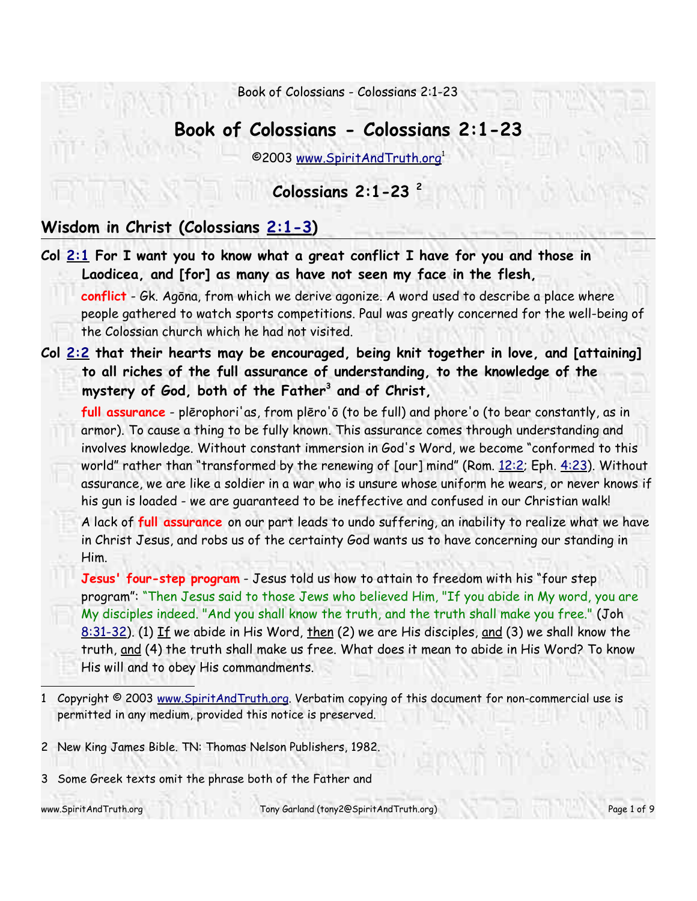# **Book of Colossians - Colossians 2:1-23**

©2003 www.SpiritAndTruth.org 1

## **Colossians 2:1-23 2**

## **Wisdom in Christ (Colossians 2:1-3)**

**Col 2:1 For I want you to know what a great conflict I have for you and those in Laodicea, and [for] as many as have not seen my face in the flesh, conflict** - Gk. Agōna, from which we derive agonize. A word used to describe a place where

people gathered to watch sports competitions. Paul was greatly concerned for the well-being of the Colossian church which he had not visited.

**Col 2:2 that their hearts may be encouraged, being knit together in love, and [attaining] to all riches of the full assurance of understanding, to the knowledge of the mystery of God, both of the Father<sup>3</sup> and of Christ,**

**full assurance** - plērophori'as, from plēro'ō (to be full) and phore'o (to bear constantly, as in armor). To cause a thing to be fully known. This assurance comes through understanding and involves knowledge. Without constant immersion in God's Word, we become "conformed to this world" rather than "transformed by the renewing of [our] mind" (Rom.  $12:2$ ; Eph.  $4:23$ ). Without assurance, we are like a soldier in a war who is unsure whose uniform he wears, or never knows if his gun is loaded - we are guaranteed to be ineffective and confused in our Christian walk!

A lack of **full assurance** on our part leads to undo suffering, an inability to realize what we have in Christ Jesus, and robs us of the certainty God wants us to have concerning our standing in Him.

**Jesus' four-step program** - Jesus told us how to attain to freedom with his "four step program": "Then Jesus said to those Jews who believed Him, "If you abide in My word, you are My disciples indeed. "And you shall know the truth, and the truth shall make you free." (Joh 8:31-32). (1) If we abide in His Word, then (2) we are His disciples, and (3) we shall know the truth, and (4) the truth shall make us free. What does it mean to abide in His Word? To know His will and to obey His commandments.

2 New King James Bible. TN: Thomas Nelson Publishers, 1982.

3 Some Greek texts omit the phrase both of the Father and

www.SpiritAndTruth.org entitled tony Garland (tony2@SpiritAndTruth.org) Page 1 of 9

<sup>1</sup> Copyright © 2003 www.SpiritAndTruth.org. Verbatim copying of this document for non-commercial use is permitted in any medium, provided this notice is preserved.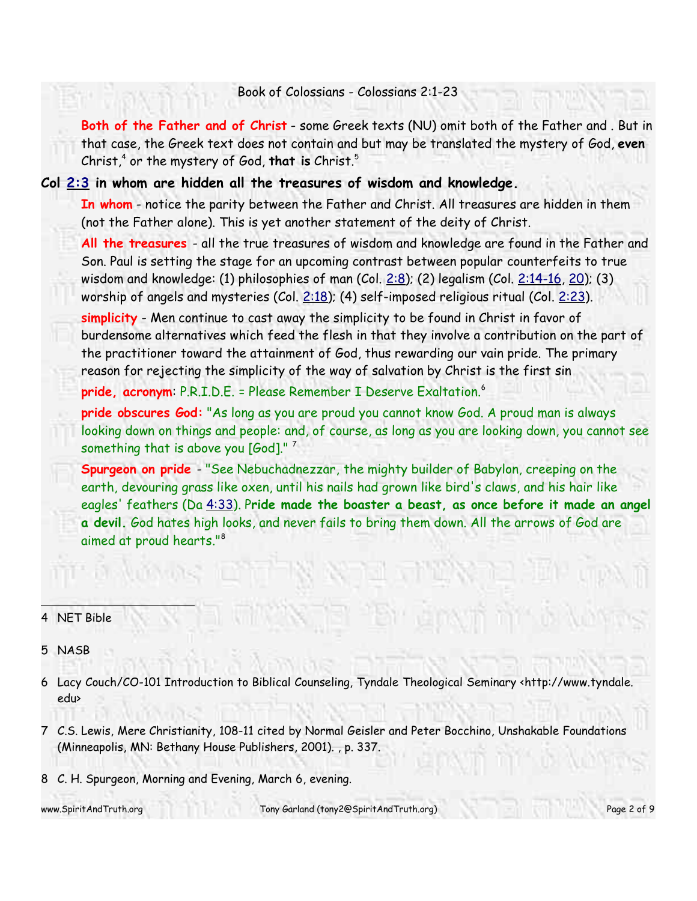**Both of the Father and of Christ** - some Greek texts (NU) omit both of the Father and . But in that case, the Greek text does not contain and but may be translated the mystery of God, **even** Christ,<sup>4</sup> or the mystery of God, **that is** Christ. 5

#### **Col 2:3 in whom are hidden all the treasures of wisdom and knowledge.**

**In whom** - notice the parity between the Father and Christ. All treasures are hidden in them (not the Father alone). This is yet another statement of the deity of Christ.

**All the treasures** - all the true treasures of wisdom and knowledge are found in the Father and Son. Paul is setting the stage for an upcoming contrast between popular counterfeits to true wisdom and knowledge: (1) philosophies of man (Col.  $2:8$ ); (2) legalism (Col.  $2:14-16$ , 20); (3) worship of angels and mysteries (Col.  $2:18$ ); (4) self-imposed religious ritual (Col.  $2:23$ ).

**simplicity** - Men continue to cast away the simplicity to be found in Christ in favor of burdensome alternatives which feed the flesh in that they involve a contribution on the part of the practitioner toward the attainment of God, thus rewarding our vain pride. The primary reason for rejecting the simplicity of the way of salvation by Christ is the first sin

**pride, acronym**: P.R.I.D.E. = Please Remember I Deserve Exaltation. 6

**pride obscures God:** "As long as you are proud you cannot know God. A proud man is always looking down on things and people: and, of course, as long as you are looking down, you cannot see something that is above you  $[God]$ ."<sup>7</sup>

**Spurgeon on pride** - "See Nebuchadnezzar, the mighty builder of Babylon, creeping on the earth, devouring grass like oxen, until his nails had grown like bird's claws, and his hair like eagles' feathers (Da 4:33). P**ride made the boaster a beast, as once before it made an angel a devil.** God hates high looks, and never fails to bring them down. All the arrows of God are aimed at proud hearts."<sup>8</sup>

### 4 NET Bible

#### 5 NASB

- 6 Lacy Couch/CO-101 Introduction to Biblical Counseling, Tyndale Theological Seminary <http://www.tyndale. edu>
- 7 C.S. Lewis, Mere Christianity, 108-11 cited by Normal Geisler and Peter Bocchino, Unshakable Foundations (Minneapolis, MN: Bethany House Publishers, 2001). , p. 337.
- 8 C. H. Spurgeon, Morning and Evening, March 6, evening.

www.SpiritAndTruth.org Tony Garland (tony2@SpiritAndTruth.org) Page 2 of 9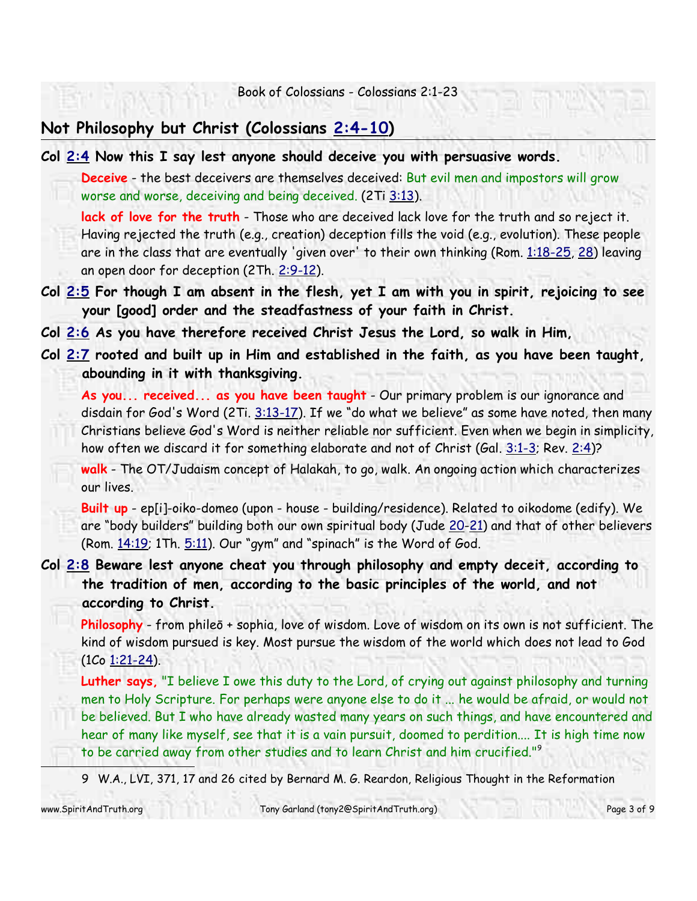## **Not Philosophy but Christ (Colossians 2:4-10)**

**Col 2:4 Now this I say lest anyone should deceive you with persuasive words.**

**Deceive** - the best deceivers are themselves deceived: But evil men and impostors will grow worse and worse, deceiving and being deceived. (2Ti 3:13).

lack of love for the truth - Those who are deceived lack love for the truth and so reject it. Having rejected the truth (e.g., creation) deception fills the void (e.g., evolution). These people are in the class that are eventually 'given over' to their own thinking (Rom. 1:18-25, 28) leaving an open door for deception (2Th. 2:9-12).

**Col 2:5 For though I am absent in the flesh, yet I am with you in spirit, rejoicing to see your [good] order and the steadfastness of your faith in Christ.**

**Col 2:6 As you have therefore received Christ Jesus the Lord, so walk in Him,**

**Col 2:7 rooted and built up in Him and established in the faith, as you have been taught, abounding in it with thanksgiving.**

**As you... received... as you have been taught** - Our primary problem is our ignorance and disdain for God's Word (2Ti. 3:13-17). If we "do what we believe" as some have noted, then many Christians believe God's Word is neither reliable nor sufficient. Even when we begin in simplicity, how often we discard it for something elaborate and not of Christ (Gal. 3:1-3; Rev. 2:4)?

**walk** - The OT/Judaism concept of Halakah, to go, walk. An ongoing action which characterizes our lives.

**Built up** - ep[i]-oiko-domeo (upon - house - building/residence). Related to oikodome (edify). We are "body builders" building both our own spiritual body (Jude 20-21) and that of other believers (Rom.  $14:19$ ; 1Th.  $5:11$ ). Our "gym" and "spinach" is the Word of God.

## **Col 2:8 Beware lest anyone cheat you through philosophy and empty deceit, according to the tradition of men, according to the basic principles of the world, and not according to Christ.**

**Philosophy** - from phileō + sophia, love of wisdom. Love of wisdom on its own is not sufficient. The kind of wisdom pursued is key. Most pursue the wisdom of the world which does not lead to God (1Co 1:21-24).

**Luther says,** "I believe I owe this duty to the Lord, of crying out against philosophy and turning men to Holy Scripture. For perhaps were anyone else to do it ... he would be afraid, or would not be believed. But I who have already wasted many years on such things, and have encountered and hear of many like myself, see that it is a vain pursuit, doomed to perdition.... It is high time now to be carried away from other studies and to learn Christ and him crucified." 9

9 W.A., LVI, 371, 17 and 26 cited by Bernard M. G. Reardon, Religious Thought in the Reformation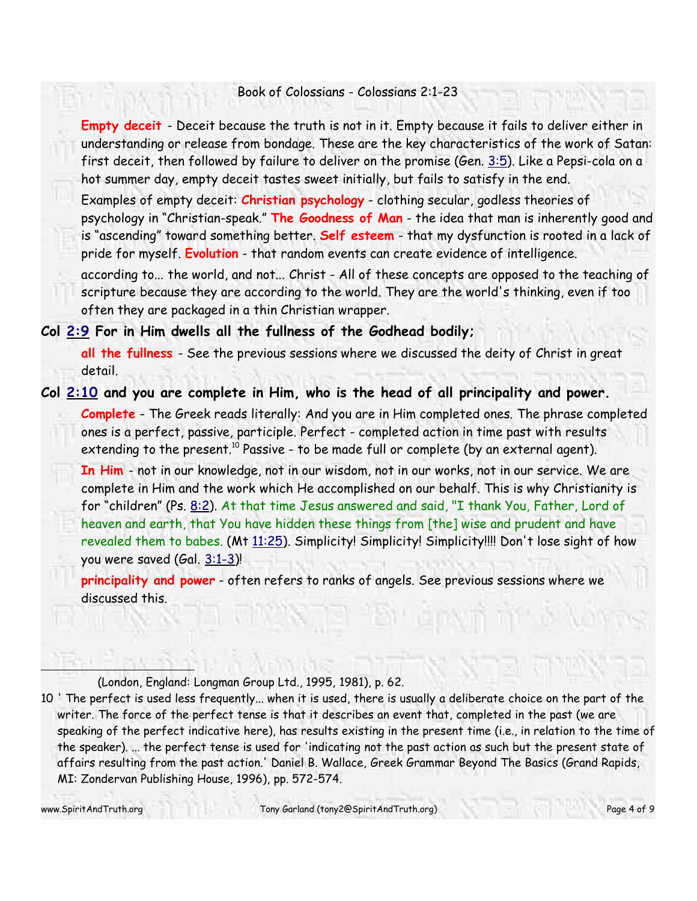**Empty deceit** - Deceit because the truth is not in it. Empty because it fails to deliver either in understanding or release from bondage. These are the key characteristics of the work of Satan: first deceit, then followed by failure to deliver on the promise (Gen. 3:5). Like a Pepsi-cola on a hot summer day, empty deceit tastes sweet initially, but fails to satisfy in the end.

Examples of empty deceit: **Christian psychology** - clothing secular, godless theories of psychology in "Christian-speak." **The Goodness of Man** - the idea that man is inherently good and is "ascending" toward something better. **Self esteem** - that my dysfunction is rooted in a lack of pride for myself. **Evolution** - that random events can create evidence of intelligence.

according to... the world, and not... Christ - All of these concepts are opposed to the teaching of scripture because they are according to the world. They are the world's thinking, even if too often they are packaged in a thin Christian wrapper.

#### **Col 2:9 For in Him dwells all the fullness of the Godhead bodily;**

**all the fullness** - See the previous sessions where we discussed the deity of Christ in great detail.

### **Col 2:10 and you are complete in Him, who is the head of all principality and power.**

**Complete** - The Greek reads literally: And you are in Him completed ones. The phrase completed ones is a perfect, passive, participle. Perfect - completed action in time past with results extending to the present.<sup>10</sup> Passive - to be made full or complete (by an external agent).

**In Him** - not in our knowledge, not in our wisdom, not in our works, not in our service. We are complete in Him and the work which He accomplished on our behalf. This is why Christianity is for "children" (Ps. 8:2). At that time Jesus answered and said, "I thank You, Father, Lord of heaven and earth, that You have hidden these things from [the] wise and prudent and have revealed them to babes. (Mt 11:25). Simplicity! Simplicity! Simplicity!!!! Don't lose sight of how you were saved (Gal. 3:1-3)!

**principality and power** - often refers to ranks of angels. See previous sessions where we discussed this.

(London, England: Longman Group Ltd., 1995, 1981), p. 62.

10 ' The perfect is used less frequently... when it is used, there is usually a deliberate choice on the part of the writer. The force of the perfect tense is that it describes an event that, completed in the past (we are speaking of the perfect indicative here), has results existing in the present time (i.e., in relation to the time of the speaker). ... the perfect tense is used for 'indicating not the past action as such but the present state of affairs resulting from the past action.' Daniel B. Wallace, Greek Grammar Beyond The Basics (Grand Rapids, MI: Zondervan Publishing House, 1996), pp. 572-574.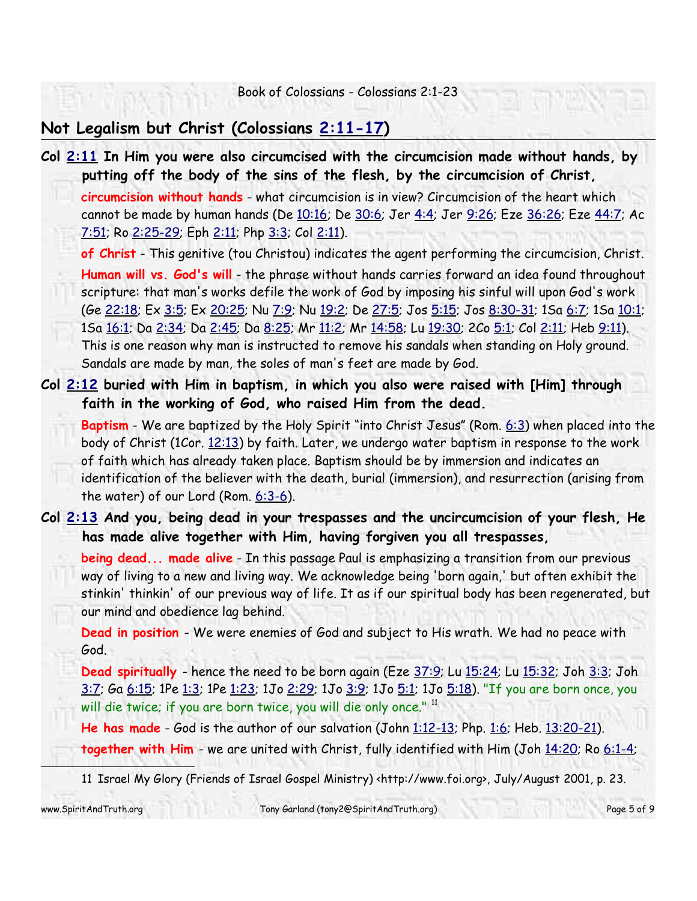## **Not Legalism but Christ (Colossians 2:11-17)**

**Col 2:11 In Him you were also circumcised with the circumcision made without hands, by putting off the body of the sins of the flesh, by the circumcision of Christ, circumcision without hands** - what circumcision is in view? Circumcision of the heart which cannot be made by human hands (De 10:16; De 30:6; Jer 4:4; Jer 9:26; Eze 36:26; Eze 44:7; Ac 7:51; Ro 2:25-29; Eph 2:11; Php 3:3; Col 2:11). **of Christ** - This genitive (tou Christou) indicates the agent performing the circumcision, Christ. **Human will vs. God's will** - the phrase without hands carries forward an idea found throughout scripture: that man's works defile the work of God by imposing his sinful will upon God's work (Ge 22:18; Ex 3:5; Ex 20:25; Nu 7:9; Nu 19:2; De 27:5; Jos 5:15; Jos 8:30-31; 1Sa 6:7; 1Sa 10:1; 1Sa 16:1; Da 2:34; Da 2:45; Da 8:25; Mr 11:2; Mr 14:58; Lu 19:30; 2Co 5:1; Col 2:11; Heb 9:11). This is one reason why man is instructed to remove his sandals when standing on Holy ground. Sandals are made by man, the soles of man's feet are made by God. **Col 2:12 buried with Him in baptism, in which you also were raised with [Him] through faith in the working of God, who raised Him from the dead. Baptism** - We are baptized by the Holy Spirit "into Christ Jesus" (Rom. 6:3) when placed into the body of Christ (1Cor. 12:13) by faith. Later, we undergo water baptism in response to the work of faith which has already taken place. Baptism should be by immersion and indicates an identification of the believer with the death, burial (immersion), and resurrection (arising from the water) of our Lord (Rom. 6:3-6). **Col 2:13 And you, being dead in your trespasses and the uncircumcision of your flesh, He has made alive together with Him, having forgiven you all trespasses, being dead... made alive** - In this passage Paul is emphasizing a transition from our previous way of living to a new and living way. We acknowledge being 'born again,' but often exhibit the stinkin' thinkin' of our previous way of life. It as if our spiritual body has been regenerated, but our mind and obedience lag behind. **Dead in position** - We were enemies of God and subject to His wrath. We had no peace with God. **Dead spiritually** - hence the need to be born again (Eze 37:9; Lu 15:24; Lu 15:32; Joh 3:3; Joh 3:7; Ga 6:15; 1Pe 1:3; 1Pe 1:23; 1Jo 2:29; 1Jo 3:9; 1Jo 5:1; 1Jo 5:18). "If you are born once, you will die twice; if you are born twice, you will die only once." 11 **He has made** - God is the author of our salvation (John 1:12-13; Php. 1:6; Heb. 13:20-21). **together with Him** - we are united with Christ, fully identified with Him (Joh 14:20; Ro 6:1-4; 11 Israel My Glory (Friends of Israel Gospel Ministry) <http://www.foi.org>, July/August 2001, p. 23.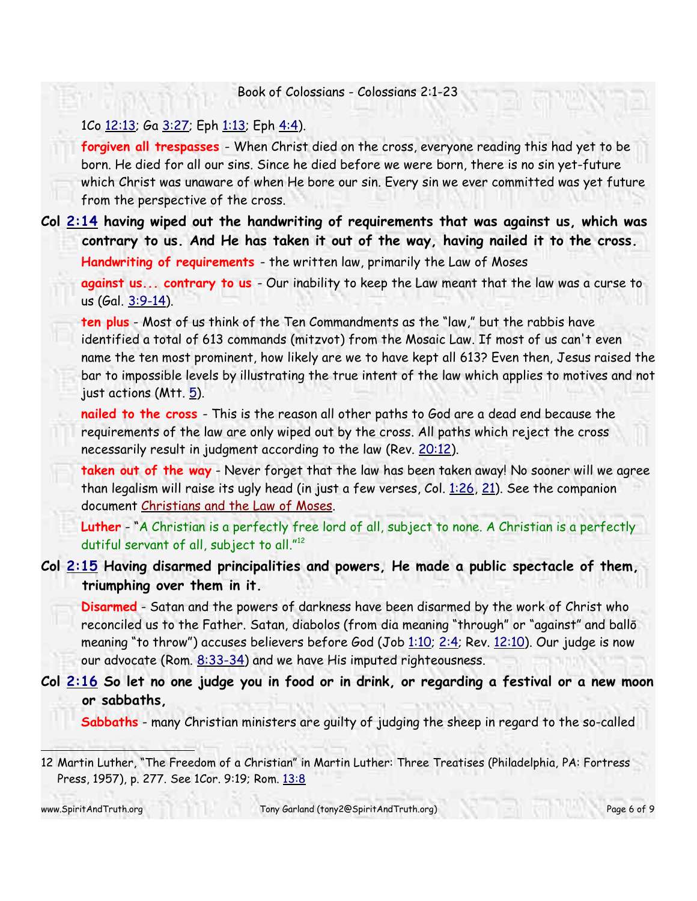#### 1Co 12:13; Ga 3:27; Eph 1:13; Eph 4:4).

**forgiven all trespasses** - When Christ died on the cross, everyone reading this had yet to be born. He died for all our sins. Since he died before we were born, there is no sin yet-future which Christ was unaware of when He bore our sin. Every sin we ever committed was yet future from the perspective of the cross.

**Col 2:14 having wiped out the handwriting of requirements that was against us, which was contrary to us. And He has taken it out of the way, having nailed it to the cross.**

**Handwriting of requirements** - the written law, primarily the Law of Moses

**against us... contrary to us** - Our inability to keep the Law meant that the law was a curse to us (Gal. 3:9-14).

**ten plus** - Most of us think of the Ten Commandments as the "law," but the rabbis have identified a total of 613 commands (mitzvot) from the Mosaic Law. If most of us can't even name the ten most prominent, how likely are we to have kept all 613? Even then, Jesus raised the bar to impossible levels by illustrating the true intent of the law which applies to motives and not just actions  $(Mtt. 5)$ .

**nailed to the cross** - This is the reason all other paths to God are a dead end because the requirements of the law are only wiped out by the cross. All paths which reject the cross necessarily result in judgment according to the law (Rev. 20:12).

**taken out of the way** - Never forget that the law has been taken away! No sooner will we agree than legalism will raise its ugly head (in just a few verses, Col. 1:26, 21). See the companion document Christians and the Law of Moses.

**Luther** - "A Christian is a perfectly free lord of all, subject to none. A Christian is a perfectly dutiful servant of all, subject to all." 12

**Col 2:15 Having disarmed principalities and powers, He made a public spectacle of them, triumphing over them in it.**

**Disarmed** - Satan and the powers of darkness have been disarmed by the work of Christ who reconciled us to the Father. Satan, diabolos (from dia meaning "through" or "against" and ballō meaning "to throw") accuses believers before God (Job 1:10; 2:4; Rev. 12:10). Our judge is now our advocate (Rom. 8:33-34) and we have His imputed righteousness.

**Col 2:16 So let no one judge you in food or in drink, or regarding a festival or a new moon or sabbaths,**

**Sabbaths** - many Christian ministers are guilty of judging the sheep in regard to the so-called

12 Martin Luther, "The Freedom of a Christian" in Martin Luther: Three Treatises (Philadelphia, PA: Fortress Press, 1957), p. 277. See 1Cor. 9:19; Rom. 13:8

www.SpiritAndTruth.org Tony Garland (tony2@SpiritAndTruth.org) Page 6 of 9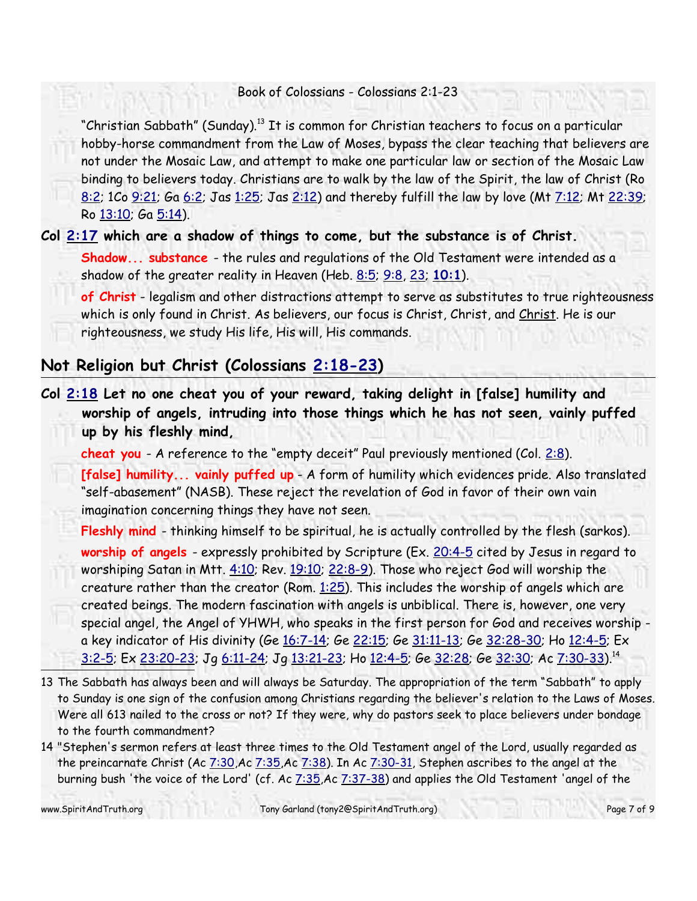"Christian Sabbath" (Sunday).<sup>13</sup> It is common for Christian teachers to focus on a particular hobby-horse commandment from the Law of Moses, bypass the clear teaching that believers are not under the Mosaic Law, and attempt to make one particular law or section of the Mosaic Law binding to believers today. Christians are to walk by the law of the Spirit, the law of Christ (Ro 8:2; 1Co 9:21; Ga 6:2; Jas 1:25; Jas 2:12) and thereby fulfill the law by love (Mt 7:12; Mt 22:39; Ro 13:10; Ga 5:14).

**Col 2:17 which are a shadow of things to come, but the substance is of Christ.**

**Shadow... substance** - the rules and regulations of the Old Testament were intended as a shadow of the greater reality in Heaven (Heb. 8:5; 9:8, 23; **10:1**).

**of Christ** - legalism and other distractions attempt to serve as substitutes to true righteousness which is only found in Christ. As believers, our focus is Christ, Christ, and Christ. He is our righteousness, we study His life, His will, His commands.

## **Not Religion but Christ (Colossians 2:18-23)**

**Col 2:18 Let no one cheat you of your reward, taking delight in [false] humility and worship of angels, intruding into those things which he has not seen, vainly puffed up by his fleshly mind,**

cheat you - A reference to the "empty deceit" Paul previously mentioned (Col. 2:8).

**[false] humility... vainly puffed up** - A form of humility which evidences pride. Also translated "self-abasement" (NASB). These reject the revelation of God in favor of their own vain imagination concerning things they have not seen.

**Fleshly mind** - thinking himself to be spiritual, he is actually controlled by the flesh (sarkos).

worship of angels - expressly prohibited by Scripture (Ex. 20:4-5 cited by Jesus in regard to worshiping Satan in Mtt. 4:10; Rev. 19:10; 22:8-9). Those who reject God will worship the creature rather than the creator (Rom.  $1:25$ ). This includes the worship of angels which are created beings. The modern fascination with angels is unbiblical. There is, however, one very special angel, the Angel of YHWH, who speaks in the first person for God and receives worship a key indicator of His divinity (Ge 16:7-14; Ge 22:15; Ge 31:11-13; Ge 32:28-30; Ho 12:4-5; Ex <u>3:2-5</u>; Ex <u>23:20-23</u>; Jg <u>6:11-24</u>; Jg <u>13:21-23</u>; Ho <u>12:4-5</u>; Ge <u>32:28</u>; Ge <u>32:30</u>; Ac <u>7:30-33)</u>.<sup>14</sup>

- 13 The Sabbath has always been and will always be Saturday. The appropriation of the term "Sabbath" to apply to Sunday is one sign of the confusion among Christians regarding the believer's relation to the Laws of Moses. Were all 613 nailed to the cross or not? If they were, why do pastors seek to place believers under bondage to the fourth commandment?
- 14 "Stephen's sermon refers at least three times to the Old Testament angel of the Lord, usually regarded as the preincarnate Christ (Ac  $7:30$ ,Ac  $7:35$ ,Ac  $7:38$ ). In Ac  $7:30-31$ , Stephen ascribes to the angel at the burning bush 'the voice of the Lord' (cf. Ac 7:35, Ac 7:37-38) and applies the Old Testament 'angel of the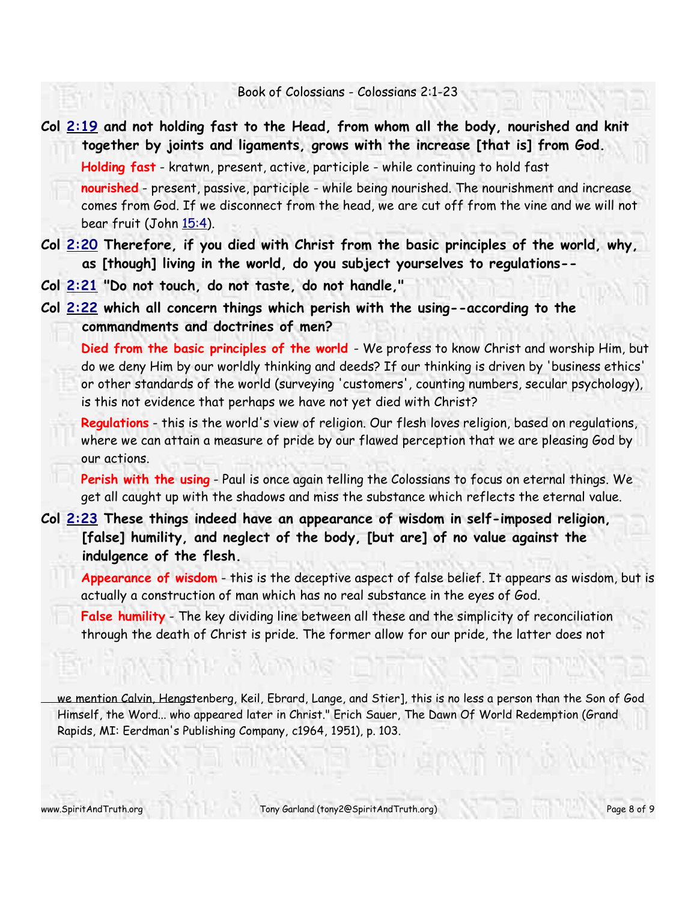**Col 2:19 and not holding fast to the Head, from whom all the body, nourished and knit together by joints and ligaments, grows with the increase [that is] from God. Holding fast** - kratwn, present, active, participle - while continuing to hold fast **nourished** - present, passive, participle - while being nourished. The nourishment and increase comes from God. If we disconnect from the head, we are cut off from the vine and we will not bear fruit (John 15:4).

**Col 2:20 Therefore, if you died with Christ from the basic principles of the world, why, as [though] living in the world, do you subject yourselves to regulations--**

**Col 2:21 "Do not touch, do not taste, do not handle,"**

**Col 2:22 which all concern things which perish with the using--according to the commandments and doctrines of men?**

**Died from the basic principles of the world** - We profess to know Christ and worship Him, but do we deny Him by our worldly thinking and deeds? If our thinking is driven by 'business ethics' or other standards of the world (surveying 'customers', counting numbers, secular psychology), is this not evidence that perhaps we have not yet died with Christ?

**Regulations** - this is the world's view of religion. Our flesh loves religion, based on regulations, where we can attain a measure of pride by our flawed perception that we are pleasing God by our actions.

**Perish with the using** - Paul is once again telling the Colossians to focus on eternal things. We get all caught up with the shadows and miss the substance which reflects the eternal value.

**Col 2:23 These things indeed have an appearance of wisdom in self-imposed religion, [false] humility, and neglect of the body, [but are] of no value against the indulgence of the flesh.**

**Appearance of wisdom** - this is the deceptive aspect of false belief. It appears as wisdom, but is actually a construction of man which has no real substance in the eyes of God.

**False humility** - The key dividing line between all these and the simplicity of reconciliation through the death of Christ is pride. The former allow for our pride, the latter does not

we mention Calvin, Hengstenberg, Keil, Ebrard, Lange, and Stier], this is no less a person than the Son of God Himself, the Word... who appeared later in Christ." Erich Sauer, The Dawn Of World Redemption (Grand Rapids, MI: Eerdman's Publishing Company, c1964, 1951), p. 103.